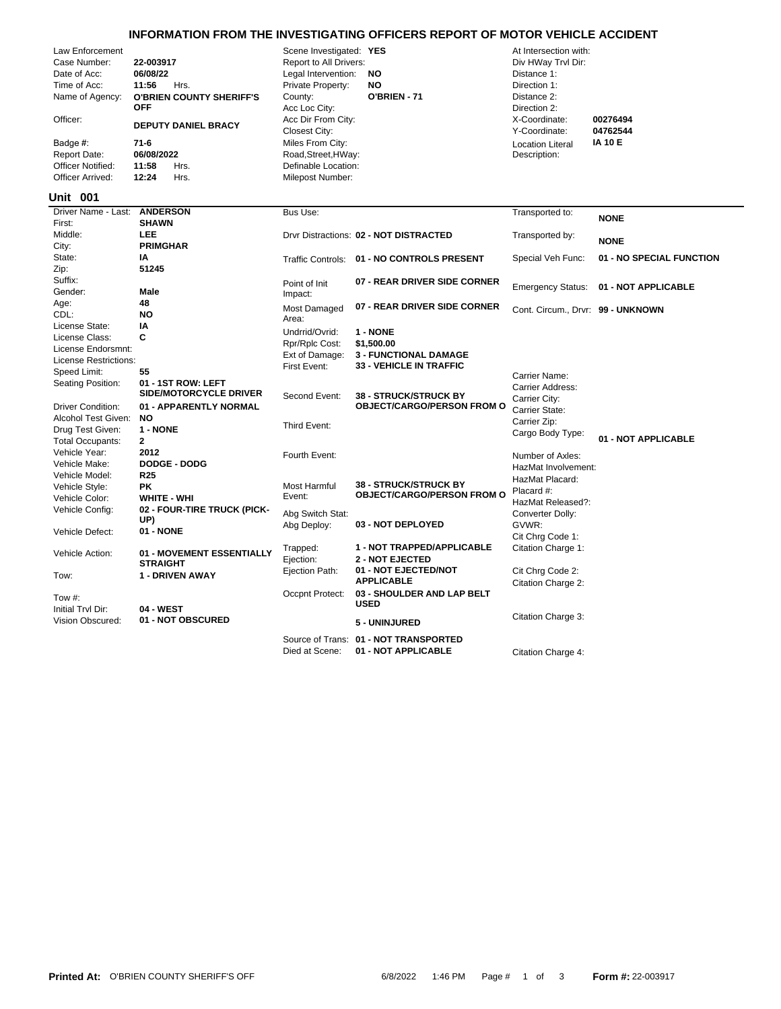|        | INFORMATION FROM THE INVESTIGATING OFFICERS REPORT OF MOTOR VEHICLE ACCIDENT                                                                                                      |                                                                                                                                                                                 |                                                                                                                                                                                                                                                               |                                            |                                                                                                                                                                                        |                                        |  |  |  |
|--------|-----------------------------------------------------------------------------------------------------------------------------------------------------------------------------------|---------------------------------------------------------------------------------------------------------------------------------------------------------------------------------|---------------------------------------------------------------------------------------------------------------------------------------------------------------------------------------------------------------------------------------------------------------|--------------------------------------------|----------------------------------------------------------------------------------------------------------------------------------------------------------------------------------------|----------------------------------------|--|--|--|
|        | Law Enforcement<br>Case Number:<br>Date of Acc:<br>Time of Acc:<br>Name of Agency:<br>Officer:<br>Badge #:<br><b>Report Date:</b><br><b>Officer Notified:</b><br>Officer Arrived: | 22-003917<br>06/08/22<br>11:56<br>Hrs.<br><b>O'BRIEN COUNTY SHERIFF'S</b><br><b>OFF</b><br><b>DEPUTY DANIEL BRACY</b><br>$71-6$<br>06/08/2022<br>11:58<br>Hrs.<br>12:24<br>Hrs. | Scene Investigated: YES<br>Report to All Drivers:<br>Legal Intervention:<br>Private Property:<br>County:<br>Acc Loc City:<br>Acc Dir From City:<br><b>Closest City:</b><br>Miles From City:<br>Road, Street, HWay:<br>Definable Location:<br>Milepost Number: | <b>NO</b><br><b>NO</b><br>O'BRIEN - 71     | At Intersection with:<br>Div HWay Trvl Dir:<br>Distance 1:<br>Direction 1:<br>Distance 2:<br>Direction 2:<br>X-Coordinate:<br>Y-Coordinate:<br><b>Location Literal</b><br>Description: | 00276494<br>04762544<br><b>IA 10 E</b> |  |  |  |
|        | <b>Unit 001</b>                                                                                                                                                                   |                                                                                                                                                                                 |                                                                                                                                                                                                                                                               |                                            |                                                                                                                                                                                        |                                        |  |  |  |
| First: | Driver Name - Last:                                                                                                                                                               | <b>ANDERSON</b><br><b>SHAWN</b>                                                                                                                                                 | Bus Use:                                                                                                                                                                                                                                                      |                                            | Transported to:                                                                                                                                                                        | <b>NONE</b>                            |  |  |  |
|        | Middle:                                                                                                                                                                           | <b>LEE</b>                                                                                                                                                                      |                                                                                                                                                                                                                                                               | Drvr Distractions: 02 - NOT DISTRACTED     | Transported by:                                                                                                                                                                        |                                        |  |  |  |
| City:  |                                                                                                                                                                                   | <b>PRIMGHAR</b>                                                                                                                                                                 |                                                                                                                                                                                                                                                               |                                            |                                                                                                                                                                                        | <b>NONE</b>                            |  |  |  |
|        | State:                                                                                                                                                                            | IA                                                                                                                                                                              |                                                                                                                                                                                                                                                               | Traffic Controls: 01 - NO CONTROLS PRESENT | Special Veh Func:                                                                                                                                                                      | 01 - NO SPECIAL FUNCTION               |  |  |  |
| Zip:   |                                                                                                                                                                                   | 51245                                                                                                                                                                           |                                                                                                                                                                                                                                                               |                                            |                                                                                                                                                                                        |                                        |  |  |  |
|        | Suffix:                                                                                                                                                                           |                                                                                                                                                                                 | Point of Init                                                                                                                                                                                                                                                 | 07 - REAR DRIVER SIDE CORNER               | <b>Emergency Status:</b>                                                                                                                                                               | 01 - NOT APPLICABLE                    |  |  |  |
|        | Gender:                                                                                                                                                                           | Male                                                                                                                                                                            | Impact:                                                                                                                                                                                                                                                       |                                            |                                                                                                                                                                                        |                                        |  |  |  |
| Age:   |                                                                                                                                                                                   | 48                                                                                                                                                                              | Most Damaged                                                                                                                                                                                                                                                  | 07 - REAR DRIVER SIDE CORNER               | Cont. Circum., Drvr: 99 - UNKNOWN                                                                                                                                                      |                                        |  |  |  |
| CDL:   |                                                                                                                                                                                   | <b>NO</b>                                                                                                                                                                       | Area:                                                                                                                                                                                                                                                         |                                            |                                                                                                                                                                                        |                                        |  |  |  |
|        | License State:                                                                                                                                                                    | IA                                                                                                                                                                              | Undrrid/Ovrid:                                                                                                                                                                                                                                                | 1 - NONE                                   |                                                                                                                                                                                        |                                        |  |  |  |
|        | License Class:<br>License Endorsmnt:                                                                                                                                              | C                                                                                                                                                                               | Rpr/Rplc Cost:                                                                                                                                                                                                                                                | \$1,500.00                                 |                                                                                                                                                                                        |                                        |  |  |  |
|        | License Restrictions:                                                                                                                                                             |                                                                                                                                                                                 | Ext of Damage:                                                                                                                                                                                                                                                | <b>3 - FUNCTIONAL DAMAGE</b>               |                                                                                                                                                                                        |                                        |  |  |  |
|        | Speed Limit:                                                                                                                                                                      | 55                                                                                                                                                                              | First Event:                                                                                                                                                                                                                                                  | 33 - VEHICLE IN TRAFFIC                    |                                                                                                                                                                                        |                                        |  |  |  |
|        | Seating Position:                                                                                                                                                                 | 01 - 1ST ROW: LEFT                                                                                                                                                              |                                                                                                                                                                                                                                                               |                                            | Carrier Name:                                                                                                                                                                          |                                        |  |  |  |
|        |                                                                                                                                                                                   | SIDE/MOTORCYCLE DRIVER                                                                                                                                                          | Second Event:                                                                                                                                                                                                                                                 | <b>38 - STRUCK/STRUCK BY</b>               | Carrier Address:<br>Carrier City:                                                                                                                                                      |                                        |  |  |  |
|        | <b>Driver Condition:</b>                                                                                                                                                          | 01 - APPARENTLY NORMAL                                                                                                                                                          |                                                                                                                                                                                                                                                               | <b>OBJECT/CARGO/PERSON FROM O</b>          | Carrier State:                                                                                                                                                                         |                                        |  |  |  |
|        | Alcohol Test Given:                                                                                                                                                               | <b>NO</b>                                                                                                                                                                       |                                                                                                                                                                                                                                                               |                                            | Carrier Zip:                                                                                                                                                                           |                                        |  |  |  |
|        | Drug Test Given:                                                                                                                                                                  | 1 - NONE                                                                                                                                                                        | Third Event:                                                                                                                                                                                                                                                  |                                            | Cargo Body Type:                                                                                                                                                                       |                                        |  |  |  |
|        | <b>Total Occupants:</b>                                                                                                                                                           | $\mathbf{2}$                                                                                                                                                                    |                                                                                                                                                                                                                                                               |                                            |                                                                                                                                                                                        | 01 - NOT APPLICABLE                    |  |  |  |
|        | Vehicle Year:                                                                                                                                                                     | 2012                                                                                                                                                                            | Fourth Event:                                                                                                                                                                                                                                                 |                                            | Number of Axles:                                                                                                                                                                       |                                        |  |  |  |
|        | Vehicle Make:                                                                                                                                                                     | DODGE - DODG                                                                                                                                                                    |                                                                                                                                                                                                                                                               |                                            | HazMat Involvement:                                                                                                                                                                    |                                        |  |  |  |
|        | Vehicle Model:                                                                                                                                                                    | <b>R25</b>                                                                                                                                                                      |                                                                                                                                                                                                                                                               | <b>38 - STRUCK/STRUCK BY</b>               | HazMat Placard:                                                                                                                                                                        |                                        |  |  |  |
|        | Vehicle Style:<br>Vehicle Color:                                                                                                                                                  | <b>PK</b><br><b>WHITE - WHI</b>                                                                                                                                                 | <b>Most Harmful</b><br>Event:                                                                                                                                                                                                                                 | <b>OBJECT/CARGO/PERSON FROM O</b>          | Placard #:                                                                                                                                                                             |                                        |  |  |  |
|        | Vehicle Config:                                                                                                                                                                   | 02 - FOUR-TIRE TRUCK (PICK-                                                                                                                                                     |                                                                                                                                                                                                                                                               |                                            | HazMat Released?:                                                                                                                                                                      |                                        |  |  |  |
|        |                                                                                                                                                                                   | UP)                                                                                                                                                                             | Abg Switch Stat:                                                                                                                                                                                                                                              |                                            | Converter Dolly:                                                                                                                                                                       |                                        |  |  |  |
|        | Vehicle Defect:                                                                                                                                                                   | <b>01 - NONE</b>                                                                                                                                                                | Abg Deploy:                                                                                                                                                                                                                                                   | 03 - NOT DEPLOYED                          | GVWR:                                                                                                                                                                                  |                                        |  |  |  |
|        |                                                                                                                                                                                   |                                                                                                                                                                                 |                                                                                                                                                                                                                                                               | 1 - NOT TRAPPED/APPLICABLE                 | Cit Chrg Code 1:                                                                                                                                                                       |                                        |  |  |  |
|        | Vehicle Action:                                                                                                                                                                   | 01 - MOVEMENT ESSENTIALLY                                                                                                                                                       | Trapped:<br>Ejection:                                                                                                                                                                                                                                         | <b>2 - NOT EJECTED</b>                     | Citation Charge 1:                                                                                                                                                                     |                                        |  |  |  |
|        |                                                                                                                                                                                   | <b>STRAIGHT</b>                                                                                                                                                                 | Ejection Path:                                                                                                                                                                                                                                                | 01 - NOT EJECTED/NOT                       | Cit Chrg Code 2:                                                                                                                                                                       |                                        |  |  |  |
| Tow:   |                                                                                                                                                                                   | 1 - DRIVEN AWAY                                                                                                                                                                 |                                                                                                                                                                                                                                                               | <b>APPLICABLE</b>                          | Citation Charge 2:                                                                                                                                                                     |                                        |  |  |  |
|        | Tow #:                                                                                                                                                                            |                                                                                                                                                                                 | Occpnt Protect:                                                                                                                                                                                                                                               | 03 - SHOULDER AND LAP BELT                 |                                                                                                                                                                                        |                                        |  |  |  |
|        | Initial Trvl Dir:                                                                                                                                                                 | 04 - WEST                                                                                                                                                                       |                                                                                                                                                                                                                                                               | <b>USED</b>                                |                                                                                                                                                                                        |                                        |  |  |  |
|        | Vision Obscured:                                                                                                                                                                  | 01 - NOT OBSCURED                                                                                                                                                               |                                                                                                                                                                                                                                                               | 5 - UNINJURED                              | Citation Charge 3:                                                                                                                                                                     |                                        |  |  |  |
|        |                                                                                                                                                                                   |                                                                                                                                                                                 |                                                                                                                                                                                                                                                               |                                            |                                                                                                                                                                                        |                                        |  |  |  |

Died at Scene: **01 - NOT APPLICABLE** Citation Charge 4:

Source of Trans: **01 - NOT TRANSPORTED**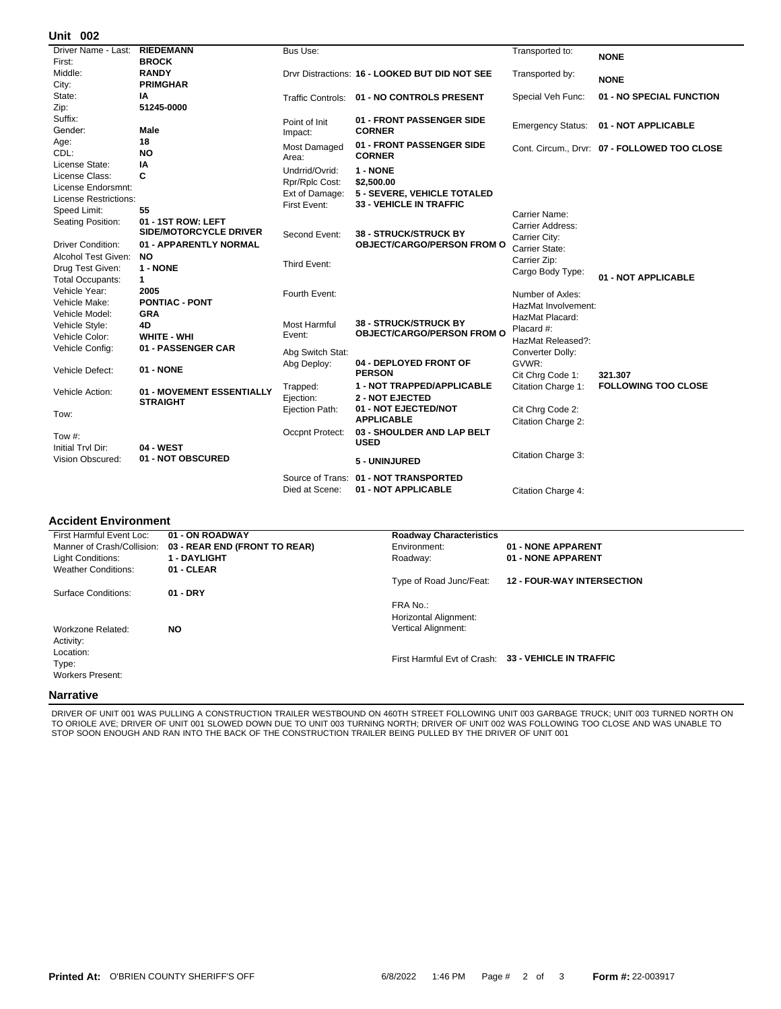## **002 Unit**

| אט וווי                      |                                              |                     |                                                |                     |                                              |
|------------------------------|----------------------------------------------|---------------------|------------------------------------------------|---------------------|----------------------------------------------|
| Driver Name - Last:          | <b>RIEDEMANN</b>                             | Bus Use:            |                                                | Transported to:     | <b>NONE</b>                                  |
| First:                       | <b>BROCK</b>                                 |                     |                                                |                     |                                              |
| Middle:                      | <b>RANDY</b>                                 |                     | Drvr Distractions: 16 - LOOKED BUT DID NOT SEE | Transported by:     | <b>NONE</b>                                  |
| City:                        | <b>PRIMGHAR</b>                              |                     |                                                |                     |                                              |
| State:                       | ΙA                                           |                     | Traffic Controls: 01 - NO CONTROLS PRESENT     | Special Veh Func:   | 01 - NO SPECIAL FUNCTION                     |
| Zip:                         | 51245-0000                                   |                     |                                                |                     |                                              |
| Suffix:                      |                                              | Point of Init       | 01 - FRONT PASSENGER SIDE                      |                     | Emergency Status: 01 - NOT APPLICABLE        |
| Gender:                      | Male                                         | Impact:             | <b>CORNER</b>                                  |                     |                                              |
| Age:                         | 18                                           | <b>Most Damaged</b> | 01 - FRONT PASSENGER SIDE                      |                     | Cont. Circum., Drvr: 07 - FOLLOWED TOO CLOSE |
| CDL:                         | <b>NO</b>                                    | Area:               | <b>CORNER</b>                                  |                     |                                              |
| License State:               | ΙA                                           | Undrrid/Ovrid:      | 1 - NONE                                       |                     |                                              |
| License Class:               | C                                            | Rpr/Rplc Cost:      | \$2,500.00                                     |                     |                                              |
| License Endorsmnt:           |                                              | Ext of Damage:      | 5 - SEVERE, VEHICLE TOTALED                    |                     |                                              |
| <b>License Restrictions:</b> |                                              | First Event:        | <b>33 - VEHICLE IN TRAFFIC</b>                 |                     |                                              |
| Speed Limit:                 | 55                                           |                     |                                                | Carrier Name:       |                                              |
| Seating Position:            | 01 - 1ST ROW: LEFT                           |                     |                                                | Carrier Address:    |                                              |
|                              | <b>SIDE/MOTORCYCLE DRIVER</b>                | Second Event:       | <b>38 - STRUCK/STRUCK BY</b>                   | Carrier City:       |                                              |
| <b>Driver Condition:</b>     | 01 - APPARENTLY NORMAL                       |                     | <b>OBJECT/CARGO/PERSON FROM O</b>              | Carrier State:      |                                              |
| Alcohol Test Given:          | NO.                                          | Third Event:        |                                                | Carrier Zip:        |                                              |
| Drug Test Given:             | 1 - NONE                                     |                     |                                                | Cargo Body Type:    |                                              |
| <b>Total Occupants:</b>      | 1                                            |                     |                                                |                     | 01 - NOT APPLICABLE                          |
| Vehicle Year:                | 2005                                         | Fourth Event:       |                                                | Number of Axles:    |                                              |
| Vehicle Make:                | <b>PONTIAC - PONT</b>                        |                     |                                                | HazMat Involvement: |                                              |
| Vehicle Model:               | <b>GRA</b>                                   |                     |                                                | HazMat Placard:     |                                              |
| Vehicle Style:               | 4D                                           | Most Harmful        | <b>38 - STRUCK/STRUCK BY</b>                   | Placard #:          |                                              |
| Vehicle Color:               | WHITE - WHI                                  | Event:              | <b>OBJECT/CARGO/PERSON FROM O</b>              | HazMat Released?:   |                                              |
| Vehicle Config:              | 01 - PASSENGER CAR                           | Abg Switch Stat:    |                                                | Converter Dolly:    |                                              |
|                              |                                              | Abg Deploy:         | 04 - DEPLOYED FRONT OF                         | GVWR:               |                                              |
| Vehicle Defect:              | 01 - NONE                                    |                     | <b>PERSON</b>                                  | Cit Chrg Code 1:    | 321.307                                      |
|                              |                                              | Trapped:            | <b>1 - NOT TRAPPED/APPLICABLE</b>              | Citation Charge 1:  | <b>FOLLOWING TOO CLOSE</b>                   |
| Vehicle Action:              | 01 - MOVEMENT ESSENTIALLY<br><b>STRAIGHT</b> | Ejection:           | <b>2 - NOT EJECTED</b>                         |                     |                                              |
|                              |                                              | Ejection Path:      | 01 - NOT EJECTED/NOT                           | Cit Chrg Code 2:    |                                              |
| Tow:                         |                                              |                     | <b>APPLICABLE</b>                              | Citation Charge 2:  |                                              |
| Tow $#$ :                    |                                              | Occpnt Protect:     | 03 - SHOULDER AND LAP BELT                     |                     |                                              |
| Initial Trvl Dir:            | 04 - WEST                                    |                     | <b>USED</b>                                    |                     |                                              |
| Vision Obscured:             | 01 - NOT OBSCURED                            |                     |                                                | Citation Charge 3:  |                                              |
|                              |                                              |                     | 5 - UNINJURED                                  |                     |                                              |
|                              |                                              | Source of Trans:    | 01 - NOT TRANSPORTED                           |                     |                                              |
|                              |                                              | Died at Scene:      | 01 - NOT APPLICABLE                            | Citation Charge 4:  |                                              |
|                              |                                              |                     |                                                |                     |                                              |

## **Accident Environment**

| First Harmful Event Loc:   | 01 - ON ROADWAY               | <b>Roadway Characteristics</b> |                                                     |
|----------------------------|-------------------------------|--------------------------------|-----------------------------------------------------|
| Manner of Crash/Collision: | 03 - REAR END (FRONT TO REAR) | Environment:                   | 01 - NONE APPARENT                                  |
| Light Conditions:          | 1 - DAYLIGHT                  | Roadway:                       | 01 - NONE APPARENT                                  |
| <b>Weather Conditions:</b> | 01 - CLEAR                    |                                |                                                     |
|                            |                               | Type of Road Junc/Feat:        | <b>12 - FOUR-WAY INTERSECTION</b>                   |
| Surface Conditions:        | $01 - DRY$                    |                                |                                                     |
|                            |                               | FRA No.:                       |                                                     |
|                            |                               | Horizontal Alignment:          |                                                     |
| Workzone Related:          | <b>NO</b>                     | Vertical Alignment:            |                                                     |
| Activity:                  |                               |                                |                                                     |
| Location:                  |                               |                                |                                                     |
| Type:                      |                               |                                | First Harmful Evt of Crash: 33 - VEHICLE IN TRAFFIC |
| <b>Workers Present:</b>    |                               |                                |                                                     |
| Narrativo                  |                               |                                |                                                     |
|                            |                               |                                |                                                     |

## **Narrative**

DRIVER OF UNIT 001 WAS PULLING A CONSTRUCTION TRAILER WESTBOUND ON 460TH STREET FOLLOWING UNIT 003 GARBAGE TRUCK; UNIT 003 TURNED NORTH ON TO ORIOLE AVE; DRIVER OF UNIT 001 SLOWED DOWN DUE TO UNIT 003 TURNING NORTH; DRIVER OF UNIT 002 WAS FOLLOWING TOO CLOSE AND WAS UNABLE TO STOP SOON ENOUGH AND RAN INTO THE BACK OF THE CONSTRUCTION TRAILER BEING PULLED BY THE DRIVER OF UNIT 001